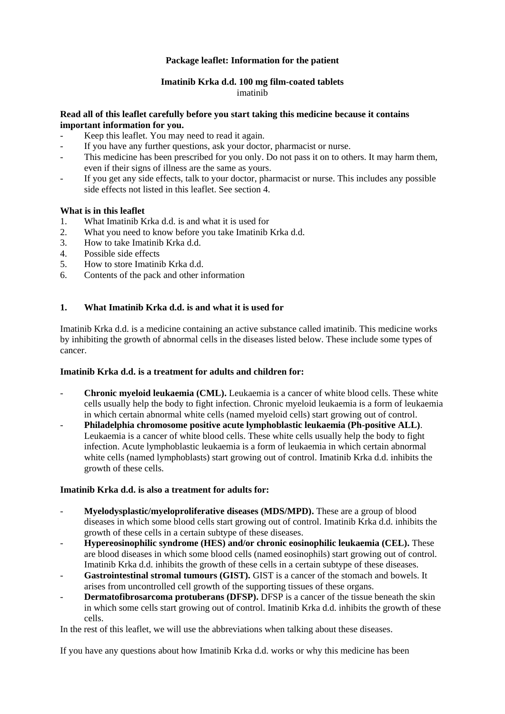# **Package leaflet: Information for the patient**

# **Imatinib Krka d.d. 100 mg film-coated tablets** imatinib

### **Read all of this leaflet carefully before you start taking this medicine because it contains important information for you.**

- Keep this leaflet. You may need to read it again.
- If you have any further questions, ask your doctor, pharmacist or nurse.
- This medicine has been prescribed for you only. Do not pass it on to others. It may harm them, even if their signs of illness are the same as yours.
- If you get any side effects, talk to your doctor, pharmacist or nurse. This includes any possible side effects not listed in this leaflet. See section 4.

# **What is in this leaflet**

- 1. What Imatinib Krka d.d. is and what it is used for
- 2. What you need to know before you take Imatinib Krka d.d.
- 3. How to take Imatinib Krka d.d.
- 4. Possible side effects
- 5. How to store Imatinib Krka d.d.
- 6. Contents of the pack and other information

### **1. What Imatinib Krka d.d. is and what it is used for**

Imatinib Krka d.d. is a medicine containing an active substance called imatinib. This medicine works by inhibiting the growth of abnormal cells in the diseases listed below. These include some types of cancer.

### **Imatinib Krka d.d. is a treatment for adults and children for:**

- **Chronic myeloid leukaemia (CML).** Leukaemia is a cancer of white blood cells. These white cells usually help the body to fight infection. Chronic myeloid leukaemia is a form of leukaemia in which certain abnormal white cells (named myeloid cells) start growing out of control.
- **Philadelphia chromosome positive acute lymphoblastic leukaemia (Ph-positive ALL)**. Leukaemia is a cancer of white blood cells. These white cells usually help the body to fight infection. Acute lymphoblastic leukaemia is a form of leukaemia in which certain abnormal white cells (named lymphoblasts) start growing out of control. Imatinib Krka d.d. inhibits the growth of these cells.

### **Imatinib Krka d.d. is also a treatment for adults for:**

- **Myelodysplastic/myeloproliferative diseases (MDS/MPD).** These are a group of blood diseases in which some blood cells start growing out of control. Imatinib Krka d.d. inhibits the growth of these cells in a certain subtype of these diseases.
- **Hypereosinophilic syndrome (HES) and/or chronic eosinophilic leukaemia (CEL).** These are blood diseases in which some blood cells (named eosinophils) start growing out of control. Imatinib Krka d.d. inhibits the growth of these cells in a certain subtype of these diseases.
- Gastrointestinal stromal tumours (GIST). GIST is a cancer of the stomach and bowels. It arises from uncontrolled cell growth of the supporting tissues of these organs.
- **Dermatofibrosarcoma protuberans (DFSP).** DFSP is a cancer of the tissue beneath the skin in which some cells start growing out of control. Imatinib Krka d.d. inhibits the growth of these cells.

In the rest of this leaflet, we will use the abbreviations when talking about these diseases.

If you have any questions about how Imatinib Krka d.d. works or why this medicine has been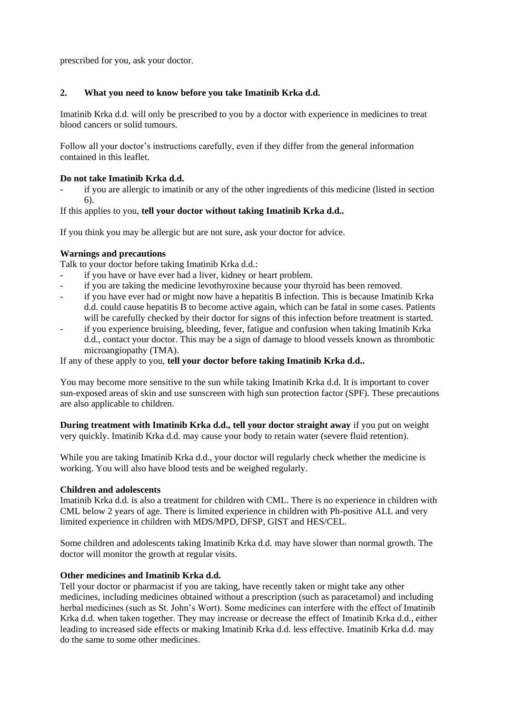prescribed for you, ask your doctor.

# **2. What you need to know before you take Imatinib Krka d.d.**

Imatinib Krka d.d. will only be prescribed to you by a doctor with experience in medicines to treat blood cancers or solid tumours.

Follow all your doctor's instructions carefully, even if they differ from the general information contained in this leaflet.

### **Do not take Imatinib Krka d.d.**

if you are allergic to imatinib or any of the other ingredients of this medicine (listed in section 6).

If this applies to you, **tell your doctor without taking Imatinib Krka d.d..**

If you think you may be allergic but are not sure, ask your doctor for advice.

# **Warnings and precautions**

Talk to your doctor before taking Imatinib Krka d.d.:

- if you have or have ever had a liver, kidney or heart problem.
- if you are taking the medicine levothyroxine because your thyroid has been removed.
- if you have ever had or might now have a hepatitis B infection. This is because Imatinib Krka d.d. could cause hepatitis B to become active again, which can be fatal in some cases. Patients will be carefully checked by their doctor for signs of this infection before treatment is started.
- if you experience bruising, bleeding, fever, fatigue and confusion when taking Imatinib Krka d.d., contact your doctor. This may be a sign of damage to blood vessels known as thrombotic microangiopathy (TMA).

If any of these apply to you, **tell your doctor before taking Imatinib Krka d.d..**

You may become more sensitive to the sun while taking Imatinib Krka d.d. It is important to cover sun-exposed areas of skin and use sunscreen with high sun protection factor (SPF). These precautions are also applicable to children.

**During treatment with Imatinib Krka d.d., tell your doctor straight away** if you put on weight very quickly. Imatinib Krka d.d. may cause your body to retain water (severe fluid retention).

While you are taking Imatinib Krka d.d., your doctor will regularly check whether the medicine is working. You will also have blood tests and be weighed regularly.

### **Children and adolescents**

Imatinib Krka d.d. is also a treatment for children with CML. There is no experience in children with CML below 2 years of age. There is limited experience in children with Ph-positive ALL and very limited experience in children with MDS/MPD, DFSP, GIST and HES/CEL.

Some children and adolescents taking Imatinib Krka d.d. may have slower than normal growth. The doctor will monitor the growth at regular visits.

# **Other medicines and Imatinib Krka d.d.**

Tell your doctor or pharmacist if you are taking, have recently taken or might take any other medicines, including medicines obtained without a prescription (such as paracetamol) and including herbal medicines (such as St. John's Wort). Some medicines can interfere with the effect of Imatinib Krka d.d. when taken together. They may increase or decrease the effect of Imatinib Krka d.d., either leading to increased side effects or making Imatinib Krka d.d. less effective. Imatinib Krka d.d. may do the same to some other medicines.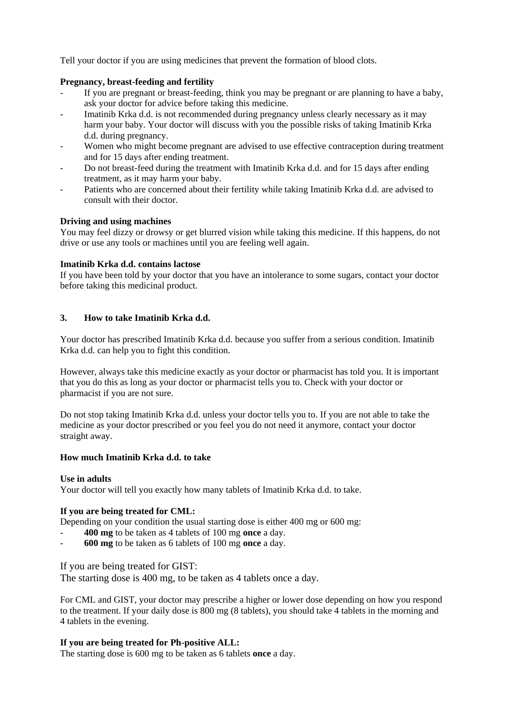Tell your doctor if you are using medicines that prevent the formation of blood clots.

### **Pregnancy, breast-feeding and fertility**

- If you are pregnant or breast-feeding, think you may be pregnant or are planning to have a baby, ask your doctor for advice before taking this medicine.
- Imatinib Krka d.d. is not recommended during pregnancy unless clearly necessary as it may harm your baby. Your doctor will discuss with you the possible risks of taking Imatinib Krka d.d. during pregnancy.
- Women who might become pregnant are advised to use effective contraception during treatment and for 15 days after ending treatment.
- Do not breast-feed during the treatment with Imatinib Krka d.d. and for 15 days after ending treatment, as it may harm your baby.
- Patients who are concerned about their fertility while taking Imatinib Krka d.d. are advised to consult with their doctor.

# **Driving and using machines**

You may feel dizzy or drowsy or get blurred vision while taking this medicine. If this happens, do not drive or use any tools or machines until you are feeling well again.

### **Imatinib Krka d.d. contains lactose**

If you have been told by your doctor that you have an intolerance to some sugars, contact your doctor before taking this medicinal product.

# **3. How to take Imatinib Krka d.d.**

Your doctor has prescribed Imatinib Krka d.d. because you suffer from a serious condition. Imatinib Krka d.d. can help you to fight this condition.

However, always take this medicine exactly as your doctor or pharmacist has told you. It is important that you do this as long as your doctor or pharmacist tells you to. Check with your doctor or pharmacist if you are not sure.

Do not stop taking Imatinib Krka d.d. unless your doctor tells you to. If you are not able to take the medicine as your doctor prescribed or you feel you do not need it anymore, contact your doctor straight away.

### **How much Imatinib Krka d.d. to take**

### **Use in adults**

Your doctor will tell you exactly how many tablets of Imatinib Krka d.d. to take.

### **If you are being treated for CML:**

Depending on your condition the usual starting dose is either 400 mg or 600 mg:

- **400 mg** to be taken as 4 tablets of 100 mg **once** a day.
- **600 mg** to be taken as 6 tablets of 100 mg **once** a day.

### If you are being treated for GIST:

The starting dose is 400 mg, to be taken as 4 tablets once a day.

For CML and GIST, your doctor may prescribe a higher or lower dose depending on how you respond to the treatment. If your daily dose is 800 mg (8 tablets), you should take 4 tablets in the morning and 4 tablets in the evening.

### **If you are being treated for Ph-positive ALL:**

The starting dose is 600 mg to be taken as 6 tablets **once** a day.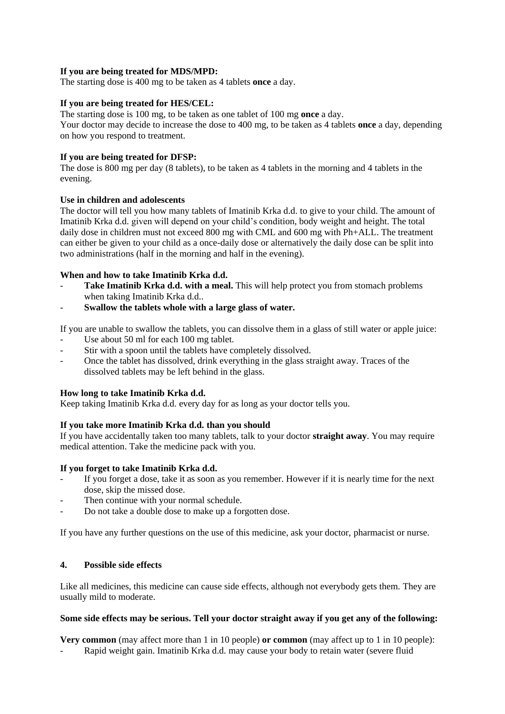# **If you are being treated for MDS/MPD:**

The starting dose is 400 mg to be taken as 4 tablets **once** a day.

# **If you are being treated for HES/CEL:**

The starting dose is 100 mg, to be taken as one tablet of 100 mg **once** a day. Your doctor may decide to increase the dose to 400 mg, to be taken as 4 tablets **once** a day, depending on how you respond to treatment.

# **If you are being treated for DFSP:**

The dose is 800 mg per day (8 tablets), to be taken as 4 tablets in the morning and 4 tablets in the evening.

# **Use in children and adolescents**

The doctor will tell you how many tablets of Imatinib Krka d.d. to give to your child. The amount of Imatinib Krka d.d. given will depend on your child's condition, body weight and height. The total daily dose in children must not exceed 800 mg with CML and 600 mg with Ph+ALL. The treatment can either be given to your child as a once-daily dose or alternatively the daily dose can be split into two administrations (half in the morning and half in the evening).

# **When and how to take Imatinib Krka d.d.**

- **Take Imatinib Krka d.d. with a meal.** This will help protect you from stomach problems when taking Imatinib Krka d.d..
- **Swallow the tablets whole with a large glass of water.**

If you are unable to swallow the tablets, you can dissolve them in a glass of still water or apple juice:

- Use about 50 ml for each 100 mg tablet.
- Stir with a spoon until the tablets have completely dissolved.
- Once the tablet has dissolved, drink everything in the glass straight away. Traces of the dissolved tablets may be left behind in the glass.

### **How long to take Imatinib Krka d.d.**

Keep taking Imatinib Krka d.d. every day for as long as your doctor tells you.

# **If you take more Imatinib Krka d.d. than you should**

If you have accidentally taken too many tablets, talk to your doctor **straight away**. You may require medical attention. Take the medicine pack with you.

# **If you forget to take Imatinib Krka d.d.**

- If you forget a dose, take it as soon as you remember. However if it is nearly time for the next dose, skip the missed dose.
- Then continue with your normal schedule.
- Do not take a double dose to make up a forgotten dose.

If you have any further questions on the use of this medicine, ask your doctor, pharmacist or nurse.

### **4. Possible side effects**

Like all medicines, this medicine can cause side effects, although not everybody gets them. They are usually mild to moderate.

### **Some side effects may be serious. Tell your doctor straight away if you get any of the following:**

**Very common** (may affect more than 1 in 10 people) **or common** (may affect up to 1 in 10 people): Rapid weight gain. Imatinib Krka d.d. may cause your body to retain water (severe fluid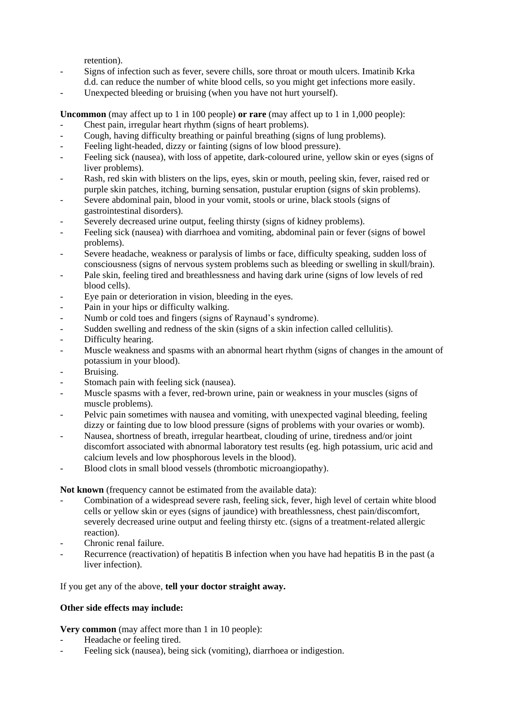retention).

- Signs of infection such as fever, severe chills, sore throat or mouth ulcers. Imatinib Krka d.d. can reduce the number of white blood cells, so you might get infections more easily.
- Unexpected bleeding or bruising (when you have not hurt yourself).

**Uncommon** (may affect up to 1 in 100 people) **or rare** (may affect up to 1 in 1,000 people):

- Chest pain, irregular heart rhythm (signs of heart problems).
- Cough, having difficulty breathing or painful breathing (signs of lung problems).
- Feeling light-headed, dizzy or fainting (signs of low blood pressure).
- Feeling sick (nausea), with loss of appetite, dark-coloured urine, yellow skin or eyes (signs of liver problems).
- Rash, red skin with blisters on the lips, eyes, skin or mouth, peeling skin, fever, raised red or purple skin patches, itching, burning sensation, pustular eruption (signs of skin problems).
- Severe abdominal pain, blood in your vomit, stools or urine, black stools (signs of gastrointestinal disorders).
- Severely decreased urine output, feeling thirsty (signs of kidney problems).
- Feeling sick (nausea) with diarrhoea and vomiting, abdominal pain or fever (signs of bowel problems).
- Severe headache, weakness or paralysis of limbs or face, difficulty speaking, sudden loss of consciousness (signs of nervous system problems such as bleeding or swelling in skull/brain).
- Pale skin, feeling tired and breathlessness and having dark urine (signs of low levels of red blood cells).
- Eye pain or deterioration in vision, bleeding in the eyes.
- Pain in your hips or difficulty walking.
- Numb or cold toes and fingers (signs of Raynaud's syndrome).
- Sudden swelling and redness of the skin (signs of a skin infection called cellulitis).
- Difficulty hearing.
- Muscle weakness and spasms with an abnormal heart rhythm (signs of changes in the amount of potassium in your blood).
- Bruising.
- Stomach pain with feeling sick (nausea).
- Muscle spasms with a fever, red-brown urine, pain or weakness in your muscles (signs of muscle problems).
- Pelvic pain sometimes with nausea and vomiting, with unexpected vaginal bleeding, feeling dizzy or fainting due to low blood pressure (signs of problems with your ovaries or womb).
- Nausea, shortness of breath, irregular heartbeat, clouding of urine, tiredness and/or joint discomfort associated with abnormal laboratory test results (eg. high potassium, uric acid and calcium levels and low phosphorous levels in the blood).
- Blood clots in small blood vessels (thrombotic microangiopathy).

**Not known** (frequency cannot be estimated from the available data):

- Combination of a widespread severe rash, feeling sick, fever, high level of certain white blood cells or yellow skin or eyes (signs of jaundice) with breathlessness, chest pain/discomfort, severely decreased urine output and feeling thirsty etc. (signs of a treatment-related allergic reaction).
- Chronic renal failure.
- Recurrence (reactivation) of hepatitis B infection when you have had hepatitis B in the past (a liver infection).

### If you get any of the above, **tell your doctor straight away.**

### **Other side effects may include:**

**Very common** (may affect more than 1 in 10 people):

- Headache or feeling tired.
- Feeling sick (nausea), being sick (vomiting), diarrhoea or indigestion.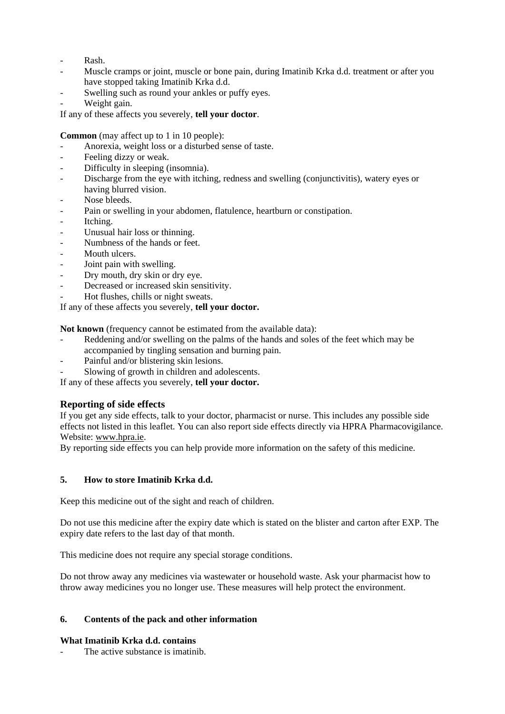- Rash.
- Muscle cramps or joint, muscle or bone pain, during Imatinib Krka d.d. treatment or after you have stopped taking Imatinib Krka d.d.
- Swelling such as round your ankles or puffy eyes.
- Weight gain.

If any of these affects you severely, **tell your doctor**.

**Common** (may affect up to 1 in 10 people):

- Anorexia, weight loss or a disturbed sense of taste.
- Feeling dizzy or weak.
- Difficulty in sleeping (insomnia).
- Discharge from the eye with itching, redness and swelling (conjunctivitis), watery eyes or having blurred vision.
- Nose bleeds.
- Pain or swelling in your abdomen, flatulence, heartburn or constipation.
- Itching.
- Unusual hair loss or thinning.
- Numbness of the hands or feet.
- Mouth ulcers.
- Joint pain with swelling.
- Dry mouth, dry skin or dry eye.
- Decreased or increased skin sensitivity.
- Hot flushes, chills or night sweats.

If any of these affects you severely, **tell your doctor.**

**Not known** (frequency cannot be estimated from the available data):

- Reddening and/or swelling on the palms of the hands and soles of the feet which may be accompanied by tingling sensation and burning pain.
- Painful and/or blistering skin lesions.
- Slowing of growth in children and adolescents.

If any of these affects you severely, **tell your doctor.**

# **Reporting of side effects**

If you get any side effects, talk to your doctor, pharmacist or nurse. This includes any possible side effects not listed in this leaflet. You can also report side effects directly via HPRA Pharmacovigilance. Website: [www.hpra.ie.](http://www.hpra.ie/)

By reporting side effects you can help provide more information on the safety of this medicine.

# **5. How to store Imatinib Krka d.d.**

Keep this medicine out of the sight and reach of children.

Do not use this medicine after the expiry date which is stated on the blister and carton after EXP. The expiry date refers to the last day of that month.

This medicine does not require any special storage conditions.

Do not throw away any medicines via wastewater or household waste. Ask your pharmacist how to throw away medicines you no longer use. These measures will help protect the environment.

# **6. Contents of the pack and other information**

### **What Imatinib Krka d.d. contains**

The active substance is imatinib.